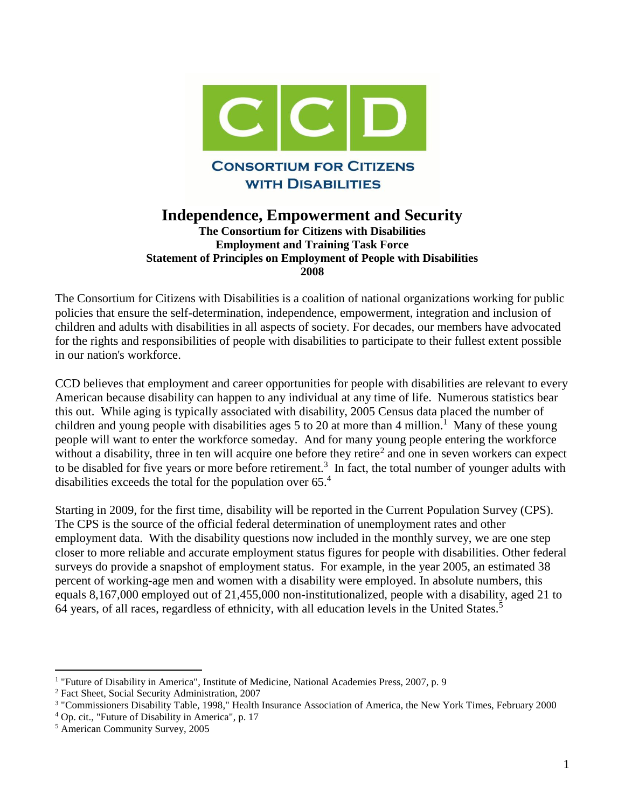

# **Independence, Empowerment and Security**

**The Consortium for Citizens with Disabilities Employment and Training Task Force Statement of Principles on Employment of People with Disabilities 2008**

The Consortium for Citizens with Disabilities is a coalition of national organizations working for public policies that ensure the self-determination, independence, empowerment, integration and inclusion of children and adults with disabilities in all aspects of society. For decades, our members have advocated for the rights and responsibilities of people with disabilities to participate to their fullest extent possible in our nation's workforce.

CCD believes that employment and career opportunities for people with disabilities are relevant to every American because disability can happen to any individual at any time of life. Numerous statistics bear this out. While aging is typically associated with disability, 2005 Census data placed the number of children and young people with disabilities ages  $5$  to  $20$  at more than 4 million.<sup>1</sup> Many of these young people will want to enter the workforce someday. And for many young people entering the workforce without a disability, three in ten will acquire one before they retire<sup>2</sup> and one in seven workers can expect to be disabled for five years or more before retirement.<sup>3</sup> In fact, the total number of younger adults with disabilities exceeds the total for the population over 65.<sup>4</sup>

Starting in 2009, for the first time, disability will be reported in the Current Population Survey (CPS). The CPS is the source of the official federal determination of unemployment rates and other employment data. With the disability questions now included in the monthly survey, we are one step closer to more reliable and accurate employment status figures for people with disabilities. Other federal surveys do provide a snapshot of employment status. For example, in the year 2005, an estimated 38 percent of working-age men and women with a disability were employed. In absolute numbers, this equals 8,167,000 employed out of 21,455,000 non-institutionalized, people with a disability, aged 21 to 64 years, of all races, regardless of ethnicity, with all education levels in the United States.<sup>5</sup>

<sup>&</sup>lt;sup>1</sup> "Future of Disability in America", Institute of Medicine, National Academies Press, 2007, p. 9

<sup>2</sup> Fact Sheet, Social Security Administration, 2007

<sup>3</sup> "Commissioners Disability Table, 1998," Health Insurance Association of America, the New York Times, February 2000

<sup>4</sup> Op. cit., "Future of Disability in America", p. 17

<sup>5</sup> American Community Survey, 2005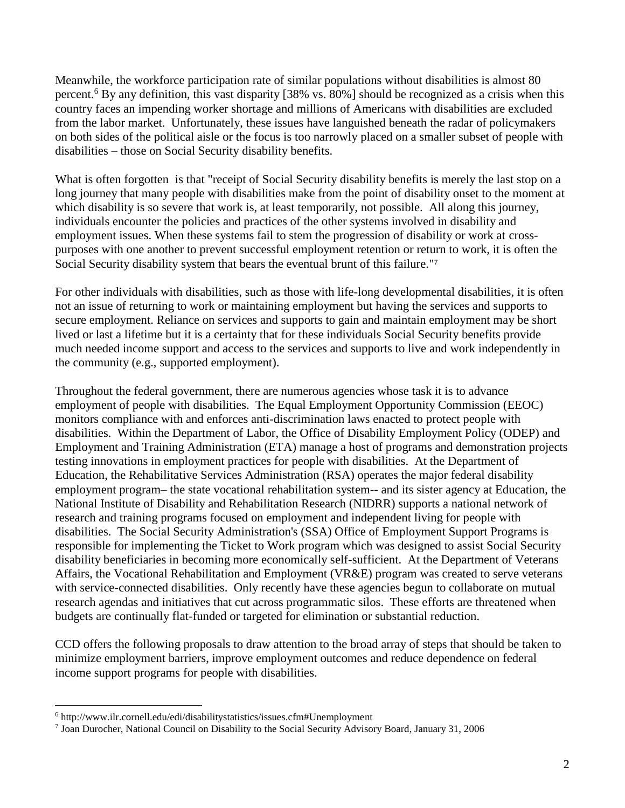Meanwhile, the workforce participation rate of similar populations without disabilities is almost 80 percent.<sup>6</sup> By any definition, this vast disparity [38% vs. 80%] should be recognized as a crisis when this country faces an impending worker shortage and millions of Americans with disabilities are excluded from the labor market. Unfortunately, these issues have languished beneath the radar of policymakers on both sides of the political aisle or the focus is too narrowly placed on a smaller subset of people with disabilities – those on Social Security disability benefits.

What is often forgotten is that "receipt of Social Security disability benefits is merely the last stop on a long journey that many people with disabilities make from the point of disability onset to the moment at which disability is so severe that work is, at least temporarily, not possible. All along this journey, individuals encounter the policies and practices of the other systems involved in disability and employment issues. When these systems fail to stem the progression of disability or work at crosspurposes with one another to prevent successful employment retention or return to work, it is often the Social Security disability system that bears the eventual brunt of this failure." 7

For other individuals with disabilities, such as those with life-long developmental disabilities, it is often not an issue of returning to work or maintaining employment but having the services and supports to secure employment. Reliance on services and supports to gain and maintain employment may be short lived or last a lifetime but it is a certainty that for these individuals Social Security benefits provide much needed income support and access to the services and supports to live and work independently in the community (e.g., supported employment).

Throughout the federal government, there are numerous agencies whose task it is to advance employment of people with disabilities. The Equal Employment Opportunity Commission (EEOC) monitors compliance with and enforces anti-discrimination laws enacted to protect people with disabilities. Within the Department of Labor, the Office of Disability Employment Policy (ODEP) and Employment and Training Administration (ETA) manage a host of programs and demonstration projects testing innovations in employment practices for people with disabilities. At the Department of Education, the Rehabilitative Services Administration (RSA) operates the major federal disability employment program– the state vocational rehabilitation system-- and its sister agency at Education, the National Institute of Disability and Rehabilitation Research (NIDRR) supports a national network of research and training programs focused on employment and independent living for people with disabilities. The Social Security Administration's (SSA) Office of Employment Support Programs is responsible for implementing the Ticket to Work program which was designed to assist Social Security disability beneficiaries in becoming more economically self-sufficient. At the Department of Veterans Affairs, the Vocational Rehabilitation and Employment (VR&E) program was created to serve veterans with service-connected disabilities. Only recently have these agencies begun to collaborate on mutual research agendas and initiatives that cut across programmatic silos. These efforts are threatened when budgets are continually flat-funded or targeted for elimination or substantial reduction.

CCD offers the following proposals to draw attention to the broad array of steps that should be taken to minimize employment barriers, improve employment outcomes and reduce dependence on federal income support programs for people with disabilities.

<sup>6</sup> http://www.ilr.cornell.edu/edi/disabilitystatistics/issues.cfm#Unemployment

<sup>7</sup> Joan Durocher, National Council on Disability to the Social Security Advisory Board, January 31, 2006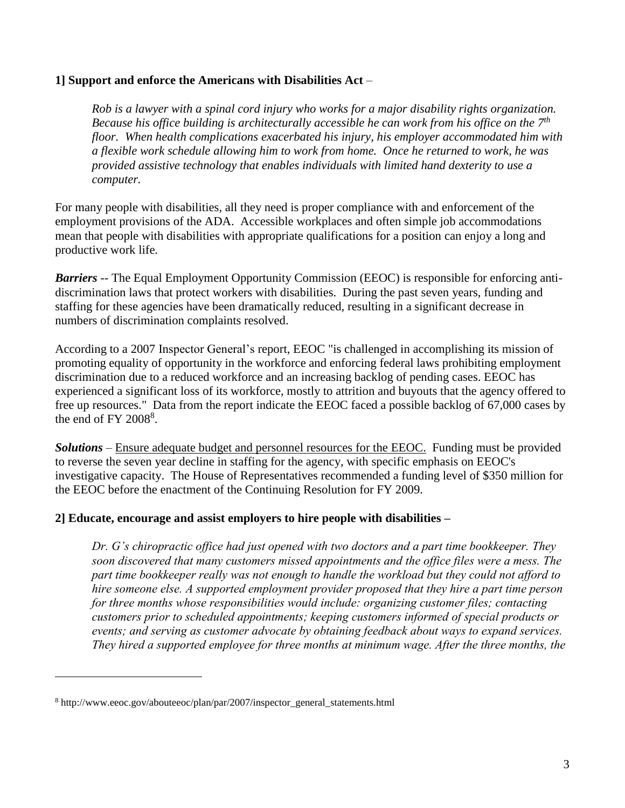### **1] Support and enforce the Americans with Disabilities Act** –

*Rob is a lawyer with a spinal cord injury who works for a major disability rights organization.*  Because his office building is architecturally accessible he can work from his office on the 7<sup>th</sup> *floor. When health complications exacerbated his injury, his employer accommodated him with a flexible work schedule allowing him to work from home. Once he returned to work, he was provided assistive technology that enables individuals with limited hand dexterity to use a computer.*

For many people with disabilities, all they need is proper compliance with and enforcement of the employment provisions of the ADA. Accessible workplaces and often simple job accommodations mean that people with disabilities with appropriate qualifications for a position can enjoy a long and productive work life.

*Barriers* -- The Equal Employment Opportunity Commission (EEOC) is responsible for enforcing antidiscrimination laws that protect workers with disabilities. During the past seven years, funding and staffing for these agencies have been dramatically reduced, resulting in a significant decrease in numbers of discrimination complaints resolved.

According to a 2007 Inspector General's report, EEOC "is challenged in accomplishing its mission of promoting equality of opportunity in the workforce and enforcing federal laws prohibiting employment discrimination due to a reduced workforce and an increasing backlog of pending cases. EEOC has experienced a significant loss of its workforce, mostly to attrition and buyouts that the agency offered to free up resources." Data from the report indicate the EEOC faced a possible backlog of 67,000 cases by the end of FY  $2008<sup>8</sup>$ .

*Solutions* – Ensure adequate budget and personnel resources for the EEOC. Funding must be provided to reverse the seven year decline in staffing for the agency, with specific emphasis on EEOC's investigative capacity. The House of Representatives recommended a funding level of \$350 million for the EEOC before the enactment of the Continuing Resolution for FY 2009.

#### **2] Educate, encourage and assist employers to hire people with disabilities –**

*Dr. G's chiropractic office had just opened with two doctors and a part time bookkeeper. They soon discovered that many customers missed appointments and the office files were a mess. The part time bookkeeper really was not enough to handle the workload but they could not afford to hire someone else. A supported employment provider proposed that they hire a part time person for three months whose responsibilities would include: organizing customer files; contacting customers prior to scheduled appointments; keeping customers informed of special products or events; and serving as customer advocate by obtaining feedback about ways to expand services. They hired a supported employee for three months at minimum wage. After the three months, the* 

<sup>8</sup> http://www.eeoc.gov/abouteeoc/plan/par/2007/inspector\_general\_statements.html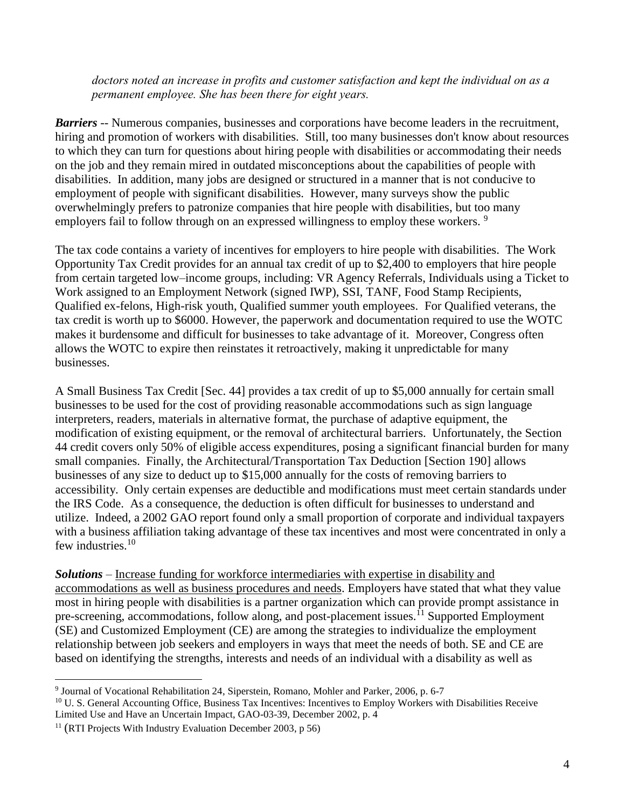*doctors noted an increase in profits and customer satisfaction and kept the individual on as a permanent employee. She has been there for eight years.*

*Barriers* -- Numerous companies, businesses and corporations have become leaders in the recruitment, hiring and promotion of workers with disabilities. Still, too many businesses don't know about resources to which they can turn for questions about hiring people with disabilities or accommodating their needs on the job and they remain mired in outdated misconceptions about the capabilities of people with disabilities. In addition, many jobs are designed or structured in a manner that is not conducive to employment of people with significant disabilities. However, many surveys show the public overwhelmingly prefers to patronize companies that hire people with disabilities, but too many employers fail to follow through on an expressed willingness to employ these workers.<sup>9</sup>

The tax code contains a variety of incentives for employers to hire people with disabilities. The Work Opportunity Tax Credit provides for an annual tax credit of up to \$2,400 to employers that hire people from certain targeted low–income groups, including: VR Agency Referrals, Individuals using a Ticket to Work assigned to an Employment Network (signed IWP), SSI, TANF, Food Stamp Recipients, Qualified ex-felons, High-risk youth, Qualified summer youth employees. For Qualified veterans, the tax credit is worth up to \$6000. However, the paperwork and documentation required to use the WOTC makes it burdensome and difficult for businesses to take advantage of it. Moreover, Congress often allows the WOTC to expire then reinstates it retroactively, making it unpredictable for many businesses.

A Small Business Tax Credit [Sec. 44] provides a tax credit of up to \$5,000 annually for certain small businesses to be used for the cost of providing reasonable accommodations such as sign language interpreters, readers, materials in alternative format, the purchase of adaptive equipment, the modification of existing equipment, or the removal of architectural barriers. Unfortunately, the Section 44 credit covers only 50% of eligible access expenditures, posing a significant financial burden for many small companies. Finally, the Architectural/Transportation Tax Deduction [Section 190] allows businesses of any size to deduct up to \$15,000 annually for the costs of removing barriers to accessibility. Only certain expenses are deductible and modifications must meet certain standards under the IRS Code. As a consequence, the deduction is often difficult for businesses to understand and utilize. Indeed, a 2002 GAO report found only a small proportion of corporate and individual taxpayers with a business affiliation taking advantage of these tax incentives and most were concentrated in only a few industries. $10$ 

*Solutions* – Increase funding for workforce intermediaries with expertise in disability and accommodations as well as business procedures and needs. Employers have stated that what they value most in hiring people with disabilities is a partner organization which can provide prompt assistance in pre-screening, accommodations, follow along, and post-placement issues.<sup>11</sup> Supported Employment (SE) and Customized Employment (CE) are among the strategies to individualize the employment relationship between job seekers and employers in ways that meet the needs of both. SE and CE are based on identifying the strengths, interests and needs of an individual with a disability as well as

 $\overline{a}$ 9 Journal of Vocational Rehabilitation 24, Siperstein, Romano, Mohler and Parker, 2006, p. 6-7

<sup>&</sup>lt;sup>10</sup> U. S. General Accounting Office, Business Tax Incentives: Incentives to Employ Workers with Disabilities Receive Limited Use and Have an Uncertain Impact, GAO-03-39, December 2002, p. 4

<sup>11</sup> (RTI Projects With Industry Evaluation December 2003, p 56)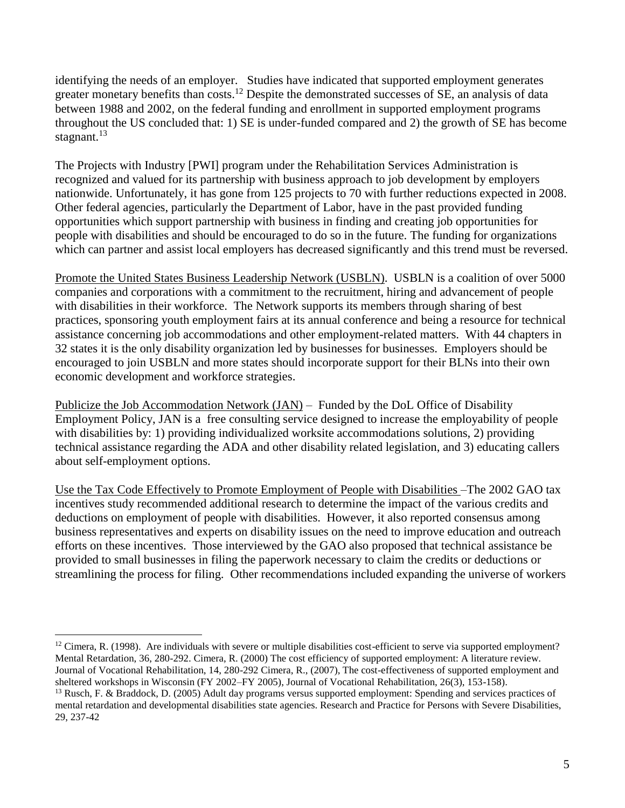identifying the needs of an employer. Studies have indicated that supported employment generates greater monetary benefits than costs.<sup>12</sup> Despite the demonstrated successes of SE, an analysis of data between 1988 and 2002, on the federal funding and enrollment in supported employment programs throughout the US concluded that: 1) SE is under-funded compared and 2) the growth of SE has become stagnant. $13$ 

The Projects with Industry [PWI] program under the Rehabilitation Services Administration is recognized and valued for its partnership with business approach to job development by employers nationwide. Unfortunately, it has gone from 125 projects to 70 with further reductions expected in 2008. Other federal agencies, particularly the Department of Labor, have in the past provided funding opportunities which support partnership with business in finding and creating job opportunities for people with disabilities and should be encouraged to do so in the future. The funding for organizations which can partner and assist local employers has decreased significantly and this trend must be reversed.

Promote the United States Business Leadership Network (USBLN). USBLN is a coalition of over 5000 companies and corporations with a commitment to the recruitment, hiring and advancement of people with disabilities in their workforce. The Network supports its members through sharing of best practices, sponsoring youth employment fairs at its annual conference and being a resource for technical assistance concerning job accommodations and other employment-related matters. With 44 chapters in 32 states it is the only disability organization led by businesses for businesses. Employers should be encouraged to join USBLN and more states should incorporate support for their BLNs into their own economic development and workforce strategies.

Publicize the Job Accommodation Network (JAN) – Funded by the DoL Office of Disability Employment Policy, JAN is a free consulting service designed to increase the employability of people with disabilities by: 1) providing individualized worksite accommodations solutions, 2) providing technical assistance regarding the ADA and other disability related legislation, and 3) educating callers about self-employment options.

Use the Tax Code Effectively to Promote Employment of People with Disabilities –The 2002 GAO tax incentives study recommended additional research to determine the impact of the various credits and deductions on employment of people with disabilities. However, it also reported consensus among business representatives and experts on disability issues on the need to improve education and outreach efforts on these incentives. Those interviewed by the GAO also proposed that technical assistance be provided to small businesses in filing the paperwork necessary to claim the credits or deductions or streamlining the process for filing. Other recommendations included expanding the universe of workers

 $12$  Cimera, R. (1998). Are individuals with severe or multiple disabilities cost-efficient to serve via supported employment? Mental Retardation, 36, 280-292. Cimera, R. (2000) The cost efficiency of supported employment: A literature review. Journal of Vocational Rehabilitation, 14, 280-292 Cimera, R., (2007), The cost-effectiveness of supported employment and sheltered workshops in Wisconsin (FY 2002–FY 2005), Journal of Vocational Rehabilitation, 26(3), 153-158).

<sup>&</sup>lt;sup>13</sup> Rusch, F. & Braddock, D. (2005) Adult day programs versus supported employment: Spending and services practices of mental retardation and developmental disabilities state agencies. Research and Practice for Persons with Severe Disabilities, 29, 237-42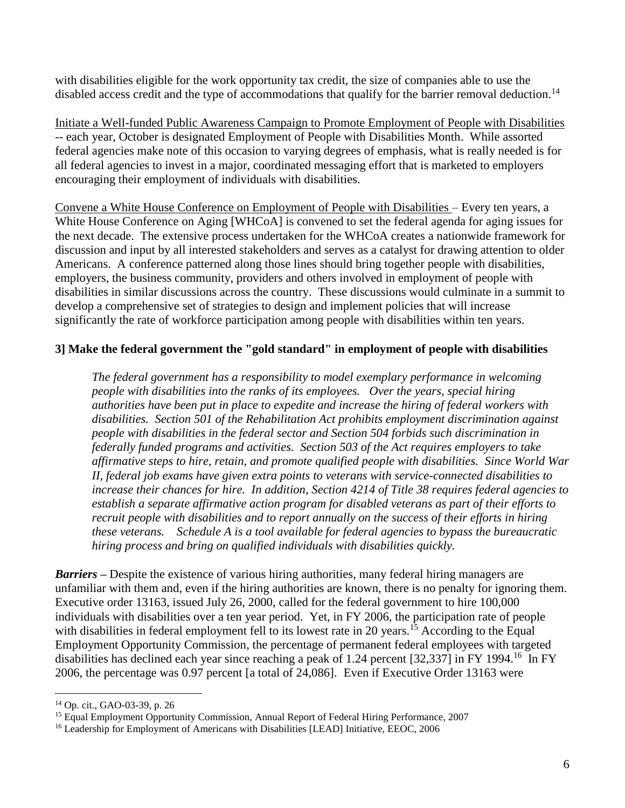with disabilities eligible for the work opportunity tax credit, the size of companies able to use the disabled access credit and the type of accommodations that qualify for the barrier removal deduction.<sup>14</sup>

Initiate a Well-funded Public Awareness Campaign to Promote Employment of People with Disabilities -- each year, October is designated Employment of People with Disabilities Month. While assorted federal agencies make note of this occasion to varying degrees of emphasis, what is really needed is for all federal agencies to invest in a major, coordinated messaging effort that is marketed to employers encouraging their employment of individuals with disabilities.

Convene a White House Conference on Employment of People with Disabilities – Every ten years, a White House Conference on Aging [WHCoA] is convened to set the federal agenda for aging issues for the next decade. The extensive process undertaken for the WHCoA creates a nationwide framework for discussion and input by all interested stakeholders and serves as a catalyst for drawing attention to older Americans. A conference patterned along those lines should bring together people with disabilities, employers, the business community, providers and others involved in employment of people with disabilities in similar discussions across the country. These discussions would culminate in a summit to develop a comprehensive set of strategies to design and implement policies that will increase significantly the rate of workforce participation among people with disabilities within ten years.

# **3] Make the federal government the "gold standard" in employment of people with disabilities**

*The federal government has a responsibility to model exemplary performance in welcoming people with disabilities into the ranks of its employees. Over the years, special hiring authorities have been put in place to expedite and increase the hiring of federal workers with disabilities. Section 501 of the Rehabilitation Act prohibits employment discrimination against people with disabilities in the federal sector and Section 504 forbids such discrimination in federally funded programs and activities. Section 503 of the Act requires employers to take affirmative steps to hire, retain, and promote qualified people with disabilities. Since World War II, federal job exams have given extra points to veterans with service-connected disabilities to increase their chances for hire. In addition, Section 4214 of Title 38 requires federal agencies to establish a separate affirmative action program for disabled veterans as part of their efforts to recruit people with disabilities and to report annually on the success of their efforts in hiring these veterans. Schedule A is a tool available for federal agencies to bypass the bureaucratic hiring process and bring on qualified individuals with disabilities quickly.* 

*Barriers* **–** Despite the existence of various hiring authorities, many federal hiring managers are unfamiliar with them and, even if the hiring authorities are known, there is no penalty for ignoring them. Executive order 13163, issued July 26, 2000, called for the federal government to hire 100,000 individuals with disabilities over a ten year period. Yet, in FY 2006, the participation rate of people with disabilities in federal employment fell to its lowest rate in 20 years.<sup>15</sup> According to the Equal Employment Opportunity Commission, the percentage of permanent federal employees with targeted disabilities has declined each year since reaching a peak of 1.24 percent [32,337] in FY 1994.<sup>16</sup> In FY 2006, the percentage was 0.97 percent [a total of 24,086]. Even if Executive Order 13163 were

<sup>14</sup> Op. cit., GAO-03-39, p. 26

<sup>&</sup>lt;sup>15</sup> Equal Employment Opportunity Commission, Annual Report of Federal Hiring Performance, 2007

<sup>&</sup>lt;sup>16</sup> Leadership for Employment of Americans with Disabilities [LEAD] Initiative, EEOC, 2006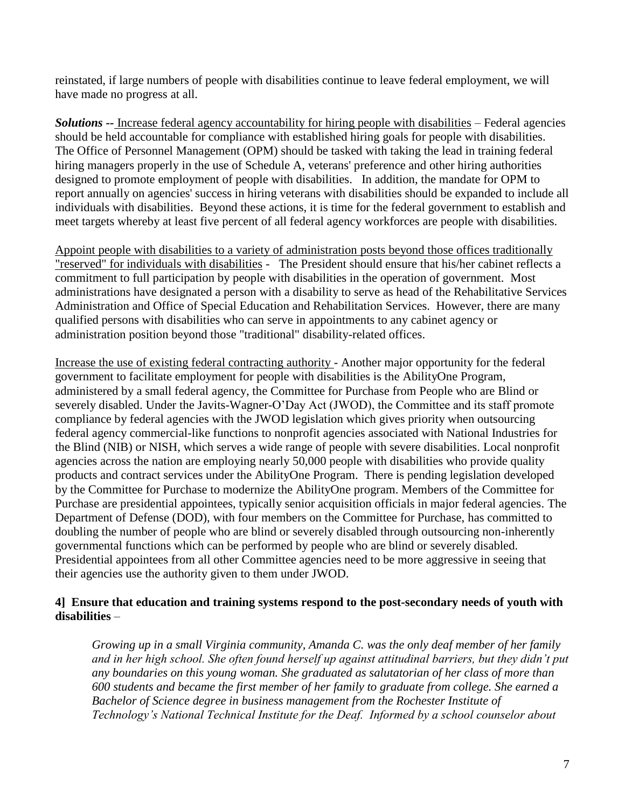reinstated, if large numbers of people with disabilities continue to leave federal employment, we will have made no progress at all.

*Solutions --* Increase federal agency accountability for hiring people with disabilities – Federal agencies should be held accountable for compliance with established hiring goals for people with disabilities. The Office of Personnel Management (OPM) should be tasked with taking the lead in training federal hiring managers properly in the use of Schedule A, veterans' preference and other hiring authorities designed to promote employment of people with disabilities. In addition, the mandate for OPM to report annually on agencies' success in hiring veterans with disabilities should be expanded to include all individuals with disabilities. Beyond these actions, it is time for the federal government to establish and meet targets whereby at least five percent of all federal agency workforces are people with disabilities.

Appoint people with disabilities to a variety of administration posts beyond those offices traditionally "reserved" for individuals with disabilities - The President should ensure that his/her cabinet reflects a commitment to full participation by people with disabilities in the operation of government. Most administrations have designated a person with a disability to serve as head of the Rehabilitative Services Administration and Office of Special Education and Rehabilitation Services. However, there are many qualified persons with disabilities who can serve in appointments to any cabinet agency or administration position beyond those "traditional" disability-related offices.

Increase the use of existing federal contracting authority - Another major opportunity for the federal government to facilitate employment for people with disabilities is the AbilityOne Program, administered by a small federal agency, the Committee for Purchase from People who are Blind or severely disabled. Under the Javits-Wagner-O'Day Act (JWOD), the Committee and its staff promote compliance by federal agencies with the JWOD legislation which gives priority when outsourcing federal agency commercial-like functions to nonprofit agencies associated with National Industries for the Blind (NIB) or NISH, which serves a wide range of people with severe disabilities. Local nonprofit agencies across the nation are employing nearly 50,000 people with disabilities who provide quality products and contract services under the AbilityOne Program. There is pending legislation developed by the Committee for Purchase to modernize the AbilityOne program. Members of the Committee for Purchase are presidential appointees, typically senior acquisition officials in major federal agencies. The Department of Defense (DOD), with four members on the Committee for Purchase, has committed to doubling the number of people who are blind or severely disabled through outsourcing non-inherently governmental functions which can be performed by people who are blind or severely disabled. Presidential appointees from all other Committee agencies need to be more aggressive in seeing that their agencies use the authority given to them under JWOD.

## **4] Ensure that education and training systems respond to the post-secondary needs of youth with disabilities** –

*Growing up in a small Virginia community, Amanda C. was the only deaf member of her family and in her high school. She often found herself up against attitudinal barriers, but they didn't put any boundaries on this young woman. She graduated as salutatorian of her class of more than 600 students and became the first member of her family to graduate from college. She earned a Bachelor of Science degree in business management from the Rochester Institute of Technology's National Technical Institute for the Deaf. Informed by a school counselor about*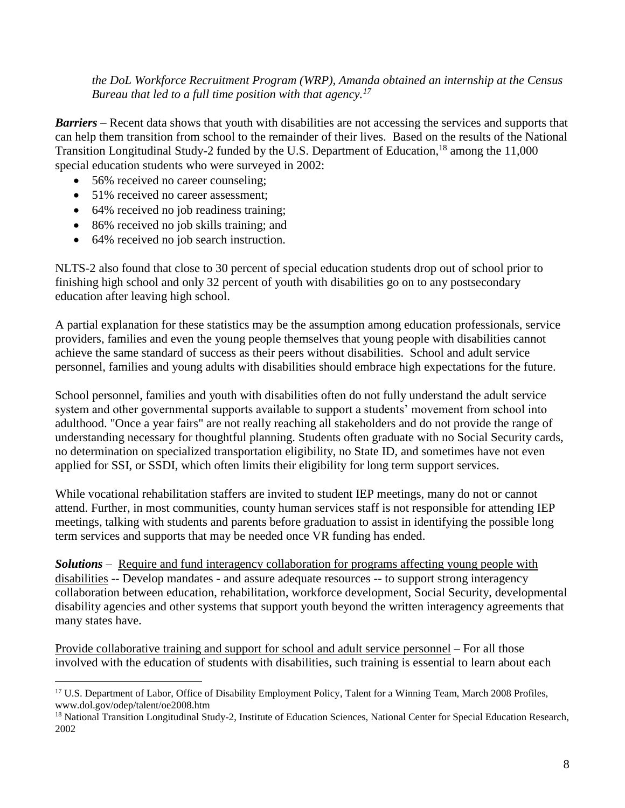*the DoL Workforce Recruitment Program (WRP), Amanda obtained an internship at the Census Bureau that led to a full time position with that agency.<sup>17</sup>*

*Barriers* – Recent data shows that youth with disabilities are not accessing the services and supports that can help them transition from school to the remainder of their lives. Based on the results of the National Transition Longitudinal Study-2 funded by the U.S. Department of Education,<sup>18</sup> among the 11,000 special education students who were surveyed in 2002:

- 56% received no career counseling:
- 51% received no career assessment;
- 64% received no job readiness training;
- 86% received no job skills training; and
- 64% received no job search instruction.

 $\overline{a}$ 

NLTS-2 also found that close to 30 percent of special education students drop out of school prior to finishing high school and only 32 percent of youth with disabilities go on to any postsecondary education after leaving high school.

A partial explanation for these statistics may be the assumption among education professionals, service providers, families and even the young people themselves that young people with disabilities cannot achieve the same standard of success as their peers without disabilities. School and adult service personnel, families and young adults with disabilities should embrace high expectations for the future.

School personnel, families and youth with disabilities often do not fully understand the adult service system and other governmental supports available to support a students' movement from school into adulthood. "Once a year fairs" are not really reaching all stakeholders and do not provide the range of understanding necessary for thoughtful planning. Students often graduate with no Social Security cards, no determination on specialized transportation eligibility, no State ID, and sometimes have not even applied for SSI, or SSDI, which often limits their eligibility for long term support services.

While vocational rehabilitation staffers are invited to student IEP meetings, many do not or cannot attend. Further, in most communities, county human services staff is not responsible for attending IEP meetings, talking with students and parents before graduation to assist in identifying the possible long term services and supports that may be needed once VR funding has ended.

*Solutions* – Require and fund interagency collaboration for programs affecting young people with disabilities -- Develop mandates - and assure adequate resources -- to support strong interagency collaboration between education, rehabilitation, workforce development, Social Security, developmental disability agencies and other systems that support youth beyond the written interagency agreements that many states have.

Provide collaborative training and support for school and adult service personnel – For all those involved with the education of students with disabilities, such training is essential to learn about each

<sup>&</sup>lt;sup>17</sup> U.S. Department of Labor, Office of Disability Employment Policy, Talent for a Winning Team, March 2008 Profiles, www.dol.gov/odep/talent/oe2008.htm

<sup>&</sup>lt;sup>18</sup> National Transition Longitudinal Study-2, Institute of Education Sciences, National Center for Special Education Research, 2002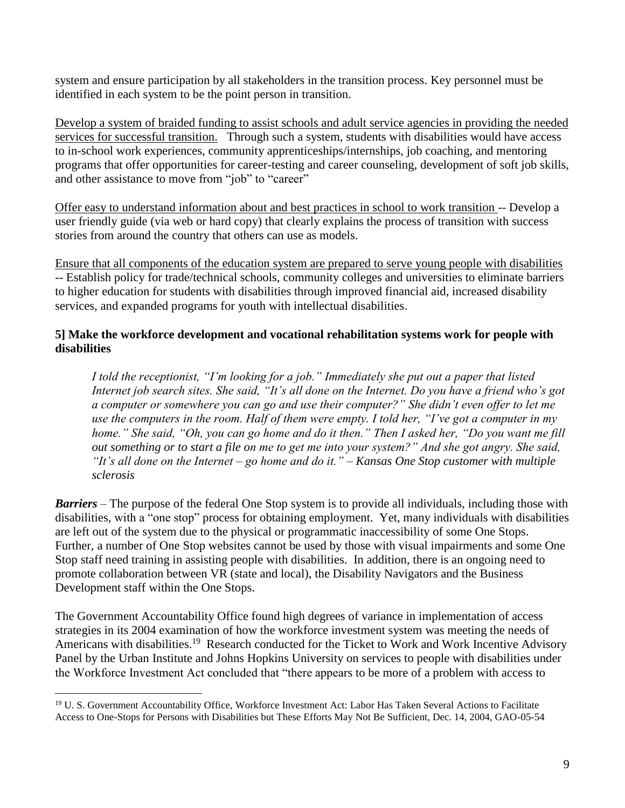system and ensure participation by all stakeholders in the transition process. Key personnel must be identified in each system to be the point person in transition.

Develop a system of braided funding to assist schools and adult service agencies in providing the needed services for successful transition. Through such a system, students with disabilities would have access to in-school work experiences, community apprenticeships/internships, job coaching, and mentoring programs that offer opportunities for career-testing and career counseling, development of soft job skills, and other assistance to move from "job" to "career"

Offer easy to understand information about and best practices in school to work transition -- Develop a user friendly guide (via web or hard copy) that clearly explains the process of transition with success stories from around the country that others can use as models.

Ensure that all components of the education system are prepared to serve young people with disabilities -- Establish policy for trade/technical schools, community colleges and universities to eliminate barriers to higher education for students with disabilities through improved financial aid, increased disability services, and expanded programs for youth with intellectual disabilities.

# **5] Make the workforce development and vocational rehabilitation systems work for people with disabilities**

*I told the receptionist, "I'm looking for a job." Immediately she put out a paper that listed Internet job search sites. She said, "It's all done on the Internet. Do you have a friend who's got a computer or somewhere you can go and use their computer?" She didn't even offer to let me use the computers in the room. Half of them were empty. I told her, "I've got a computer in my home." She said, "Oh, you can go home and do it then." Then I asked her, "Do you want me fill out something or to start a file on me to get me into your system?" And she got angry. She said, "It's all done on the Internet – go home and do it." – Kansas One Stop customer with multiple sclerosis* 

*Barriers* – The purpose of the federal One Stop system is to provide all individuals, including those with disabilities, with a "one stop" process for obtaining employment. Yet, many individuals with disabilities are left out of the system due to the physical or programmatic inaccessibility of some One Stops. Further, a number of One Stop websites cannot be used by those with visual impairments and some One Stop staff need training in assisting people with disabilities. In addition, there is an ongoing need to promote collaboration between VR (state and local), the Disability Navigators and the Business Development staff within the One Stops.

The Government Accountability Office found high degrees of variance in implementation of access strategies in its 2004 examination of how the workforce investment system was meeting the needs of Americans with disabilities.<sup>19</sup> Research conducted for the Ticket to Work and Work Incentive Advisory Panel by the Urban Institute and Johns Hopkins University on services to people with disabilities under the Workforce Investment Act concluded that "there appears to be more of a problem with access to

 $\overline{a}$ <sup>19</sup> U. S. Government Accountability Office, Workforce Investment Act: Labor Has Taken Several Actions to Facilitate Access to One-Stops for Persons with Disabilities but These Efforts May Not Be Sufficient, Dec. 14, 2004, GAO-05-54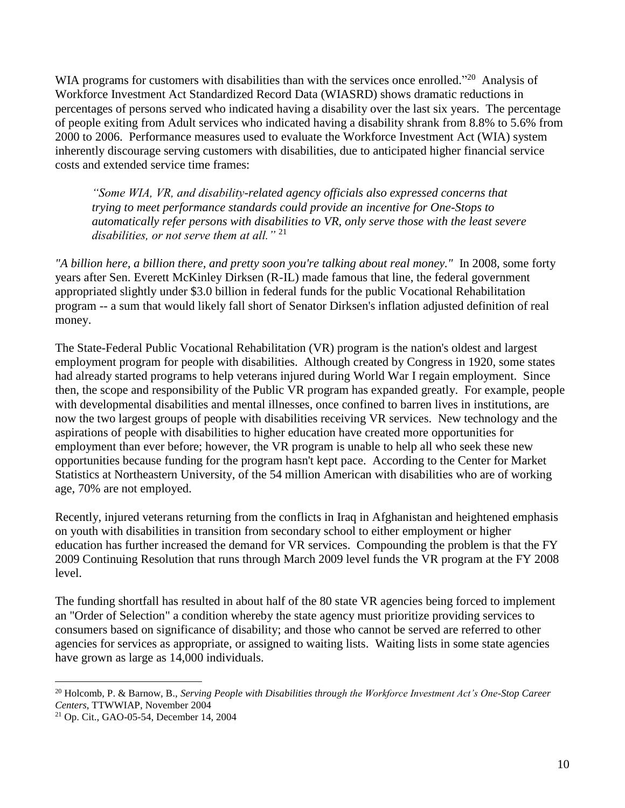WIA programs for customers with disabilities than with the services once enrolled."<sup>20</sup> Analysis of Workforce Investment Act Standardized Record Data (WIASRD) shows dramatic reductions in percentages of persons served who indicated having a disability over the last six years. The percentage of people exiting from Adult services who indicated having a disability shrank from 8.8% to 5.6% from 2000 to 2006. Performance measures used to evaluate the Workforce Investment Act (WIA) system inherently discourage serving customers with disabilities, due to anticipated higher financial service costs and extended service time frames:

*"Some WIA, VR, and disability-related agency officials also expressed concerns that trying to meet performance standards could provide an incentive for One-Stops to automatically refer persons with disabilities to VR, only serve those with the least severe disabilities, or not serve them at all."* <sup>21</sup>

*"A billion here, a billion there, and pretty soon you're talking about real money."* In 2008, some forty years after Sen. Everett McKinley Dirksen (R-IL) made famous that line, the federal government appropriated slightly under \$3.0 billion in federal funds for the public Vocational Rehabilitation program -- a sum that would likely fall short of Senator Dirksen's inflation adjusted definition of real money.

The State-Federal Public Vocational Rehabilitation (VR) program is the nation's oldest and largest employment program for people with disabilities. Although created by Congress in 1920, some states had already started programs to help veterans injured during World War I regain employment. Since then, the scope and responsibility of the Public VR program has expanded greatly. For example, people with developmental disabilities and mental illnesses, once confined to barren lives in institutions, are now the two largest groups of people with disabilities receiving VR services. New technology and the aspirations of people with disabilities to higher education have created more opportunities for employment than ever before; however, the VR program is unable to help all who seek these new opportunities because funding for the program hasn't kept pace. According to the Center for Market Statistics at Northeastern University, of the 54 million American with disabilities who are of working age, 70% are not employed.

Recently, injured veterans returning from the conflicts in Iraq in Afghanistan and heightened emphasis on youth with disabilities in transition from secondary school to either employment or higher education has further increased the demand for VR services. Compounding the problem is that the FY 2009 Continuing Resolution that runs through March 2009 level funds the VR program at the FY 2008 level.

The funding shortfall has resulted in about half of the 80 state VR agencies being forced to implement an "Order of Selection" a condition whereby the state agency must prioritize providing services to consumers based on significance of disability; and those who cannot be served are referred to other agencies for services as appropriate, or assigned to waiting lists. Waiting lists in some state agencies have grown as large as 14,000 individuals.

<sup>20</sup> Holcomb, P. & Barnow, B., *Serving People with Disabilities through the Workforce Investment Act's One-Stop Career Centers*, TTWWIAP, November 2004

<sup>21</sup> Op. Cit., [GAO-05-54,](http://www.gao.gov/docsearch/locate?to=http%3A%2F%2Fwww.gao.gov%2Fnew.items%2Fd0554.pdf) December 14, 2004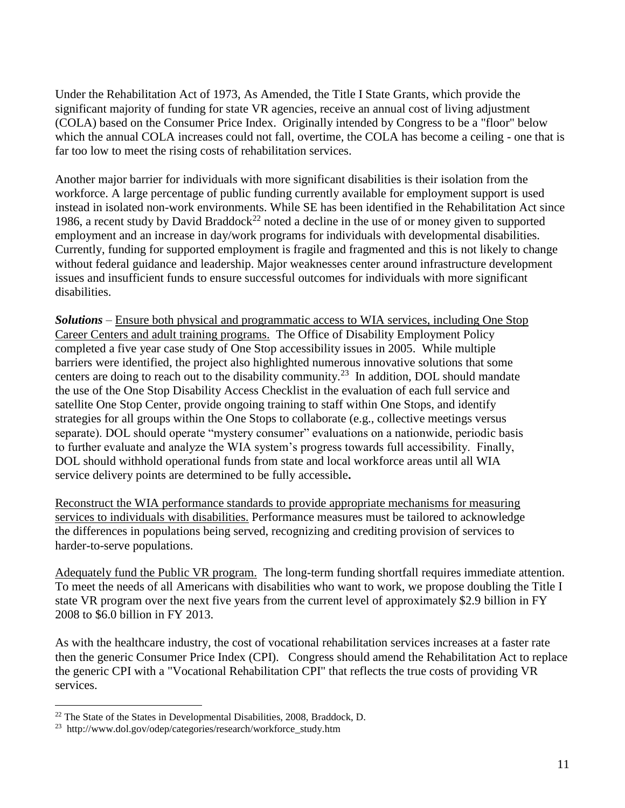Under the Rehabilitation Act of 1973, As Amended, the Title I State Grants, which provide the significant majority of funding for state VR agencies, receive an annual cost of living adjustment (COLA) based on the Consumer Price Index. Originally intended by Congress to be a "floor" below which the annual COLA increases could not fall, overtime, the COLA has become a ceiling - one that is far too low to meet the rising costs of rehabilitation services.

Another major barrier for individuals with more significant disabilities is their isolation from the workforce. A large percentage of public funding currently available for employment support is used instead in isolated non-work environments. While SE has been identified in the Rehabilitation Act since 1986, a recent study by David Braddock<sup>22</sup> noted a decline in the use of or money given to supported employment and an increase in day/work programs for individuals with developmental disabilities. Currently, funding for supported employment is fragile and fragmented and this is not likely to change without federal guidance and leadership. Major weaknesses center around infrastructure development issues and insufficient funds to ensure successful outcomes for individuals with more significant disabilities.

*Solutions* – Ensure both physical and programmatic access to WIA services, including One Stop Career Centers and adult training programs. The Office of Disability Employment Policy completed a five year case study of One Stop accessibility issues in 2005. While multiple barriers were identified, the project also highlighted numerous innovative solutions that some centers are doing to reach out to the disability community.<sup>23</sup> In addition, DOL should mandate the use of the One Stop Disability Access Checklist in the evaluation of each full service and satellite One Stop Center, provide ongoing training to staff within One Stops, and identify strategies for all groups within the One Stops to collaborate (e.g., collective meetings versus separate). DOL should operate "mystery consumer" evaluations on a nationwide, periodic basis to further evaluate and analyze the WIA system's progress towards full accessibility. Finally, DOL should withhold operational funds from state and local workforce areas until all WIA service delivery points are determined to be fully accessible**.** 

Reconstruct the WIA performance standards to provide appropriate mechanisms for measuring services to individuals with disabilities. Performance measures must be tailored to acknowledge the differences in populations being served, recognizing and crediting provision of services to harder-to-serve populations.

Adequately fund the Public VR program. The long-term funding shortfall requires immediate attention. To meet the needs of all Americans with disabilities who want to work, we propose doubling the Title I state VR program over the next five years from the current level of approximately \$2.9 billion in FY 2008 to \$6.0 billion in FY 2013.

As with the healthcare industry, the cost of vocational rehabilitation services increases at a faster rate then the generic Consumer Price Index (CPI). Congress should amend the Rehabilitation Act to replace the generic CPI with a "Vocational Rehabilitation CPI" that reflects the true costs of providing VR services.

 $22$  The State of the States in Developmental Disabilities, 2008, Braddock, D.

<sup>&</sup>lt;sup>23</sup> http://www.dol.gov/odep/categories/research/workforce\_study.htm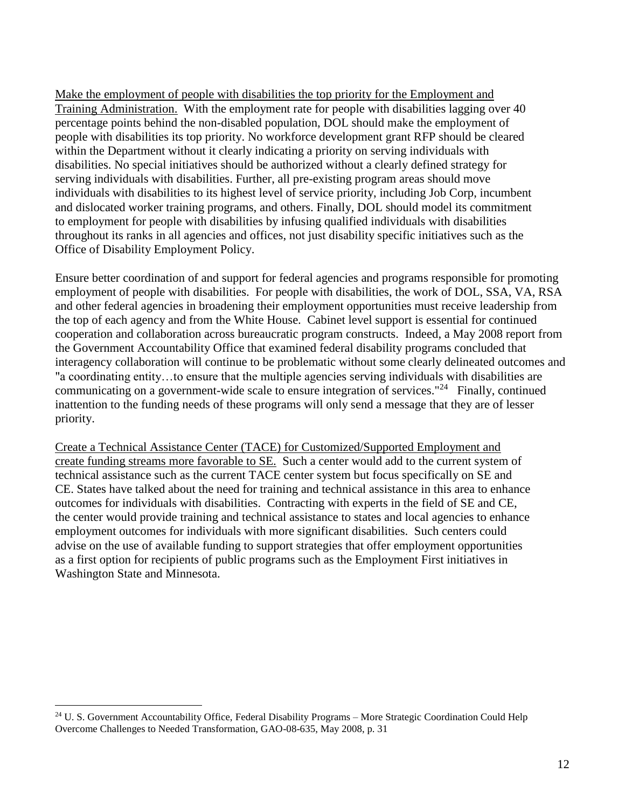Make the employment of people with disabilities the top priority for the Employment and Training Administration. With the employment rate for people with disabilities lagging over 40 percentage points behind the non-disabled population, DOL should make the employment of people with disabilities its top priority. No workforce development grant RFP should be cleared within the Department without it clearly indicating a priority on serving individuals with disabilities. No special initiatives should be authorized without a clearly defined strategy for serving individuals with disabilities. Further, all pre-existing program areas should move individuals with disabilities to its highest level of service priority, including Job Corp, incumbent and dislocated worker training programs, and others. Finally, DOL should model its commitment to employment for people with disabilities by infusing qualified individuals with disabilities throughout its ranks in all agencies and offices, not just disability specific initiatives such as the Office of Disability Employment Policy.

Ensure better coordination of and support for federal agencies and programs responsible for promoting employment of people with disabilities. For people with disabilities, the work of DOL, SSA, VA, RSA and other federal agencies in broadening their employment opportunities must receive leadership from the top of each agency and from the White House. Cabinet level support is essential for continued cooperation and collaboration across bureaucratic program constructs. Indeed, a May 2008 report from the Government Accountability Office that examined federal disability programs concluded that interagency collaboration will continue to be problematic without some clearly delineated outcomes and "a coordinating entity…to ensure that the multiple agencies serving individuals with disabilities are communicating on a government-wide scale to ensure integration of services."<sup>24</sup> Finally, continued inattention to the funding needs of these programs will only send a message that they are of lesser priority.

Create a Technical Assistance Center (TACE) for Customized/Supported Employment and create funding streams more favorable to SE.Such a center would add to the current system of technical assistance such as the current TACE center system but focus specifically on SE and CE. States have talked about the need for training and technical assistance in this area to enhance outcomes for individuals with disabilities. Contracting with experts in the field of SE and CE, the center would provide training and technical assistance to states and local agencies to enhance employment outcomes for individuals with more significant disabilities. Such centers could advise on the use of available funding to support strategies that offer employment opportunities as a first option for recipients of public programs such as the Employment First initiatives in Washington State and Minnesota.

<sup>&</sup>lt;sup>24</sup> U. S. Government Accountability Office, Federal Disability Programs – More Strategic Coordination Could Help Overcome Challenges to Needed Transformation, GAO-08-635, May 2008, p. 31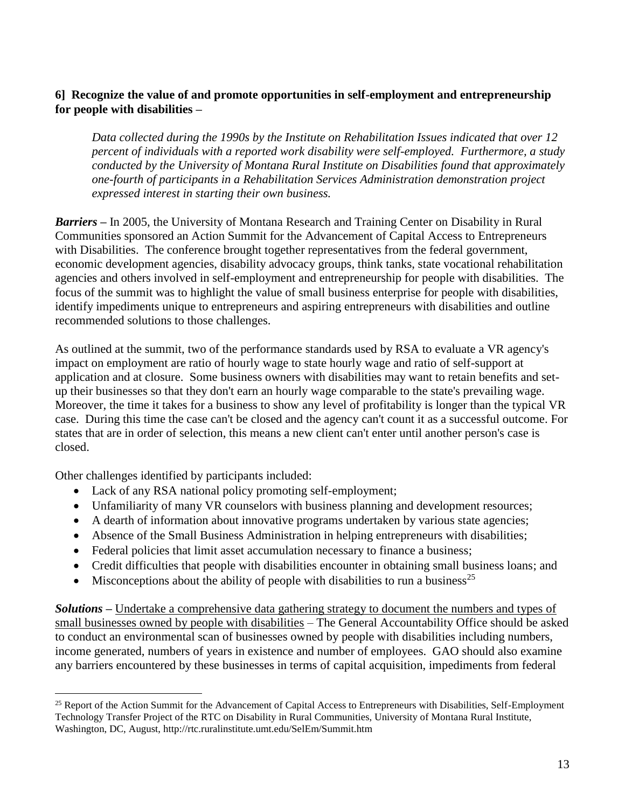# **6] Recognize the value of and promote opportunities in self-employment and entrepreneurship for people with disabilities –**

*Data collected during the 1990s by the Institute on Rehabilitation Issues indicated that over 12 percent of individuals with a reported work disability were self-employed. Furthermore, a study conducted by the University of Montana Rural Institute on Disabilities found that approximately one-fourth of participants in a Rehabilitation Services Administration demonstration project expressed interest in starting their own business.*

*Barriers –* In 2005, the University of Montana Research and Training Center on Disability in Rural Communities sponsored an Action Summit for the Advancement of Capital Access to Entrepreneurs with Disabilities. The conference brought together representatives from the federal government, economic development agencies, disability advocacy groups, think tanks, state vocational rehabilitation agencies and others involved in self-employment and entrepreneurship for people with disabilities. The focus of the summit was to highlight the value of small business enterprise for people with disabilities, identify impediments unique to entrepreneurs and aspiring entrepreneurs with disabilities and outline recommended solutions to those challenges.

As outlined at the summit, two of the performance standards used by RSA to evaluate a VR agency's impact on employment are ratio of hourly wage to state hourly wage and ratio of self-support at application and at closure. Some business owners with disabilities may want to retain benefits and setup their businesses so that they don't earn an hourly wage comparable to the state's prevailing wage. Moreover, the time it takes for a business to show any level of profitability is longer than the typical VR case. During this time the case can't be closed and the agency can't count it as a successful outcome. For states that are in order of selection, this means a new client can't enter until another person's case is closed.

Other challenges identified by participants included:

 $\overline{a}$ 

- Lack of any RSA national policy promoting self-employment;
- Unfamiliarity of many VR counselors with business planning and development resources;
- A dearth of information about innovative programs undertaken by various state agencies;
- Absence of the Small Business Administration in helping entrepreneurs with disabilities;
- Federal policies that limit asset accumulation necessary to finance a business;
- Credit difficulties that people with disabilities encounter in obtaining small business loans; and
- $\bullet$  Misconceptions about the ability of people with disabilities to run a business<sup>25</sup>

*Solutions –* Undertake a comprehensive data gathering strategy to document the numbers and types of small businesses owned by people with disabilities – The General Accountability Office should be asked to conduct an environmental scan of businesses owned by people with disabilities including numbers, income generated, numbers of years in existence and number of employees. GAO should also examine any barriers encountered by these businesses in terms of capital acquisition, impediments from federal

<sup>&</sup>lt;sup>25</sup> Report of the Action Summit for the Advancement of Capital Access to Entrepreneurs with Disabilities, Self-Employment Technology Transfer Project of the RTC on Disability in Rural Communities, University of Montana Rural Institute, Washington, DC, August, http://rtc.ruralinstitute.umt.edu/SelEm/Summit.htm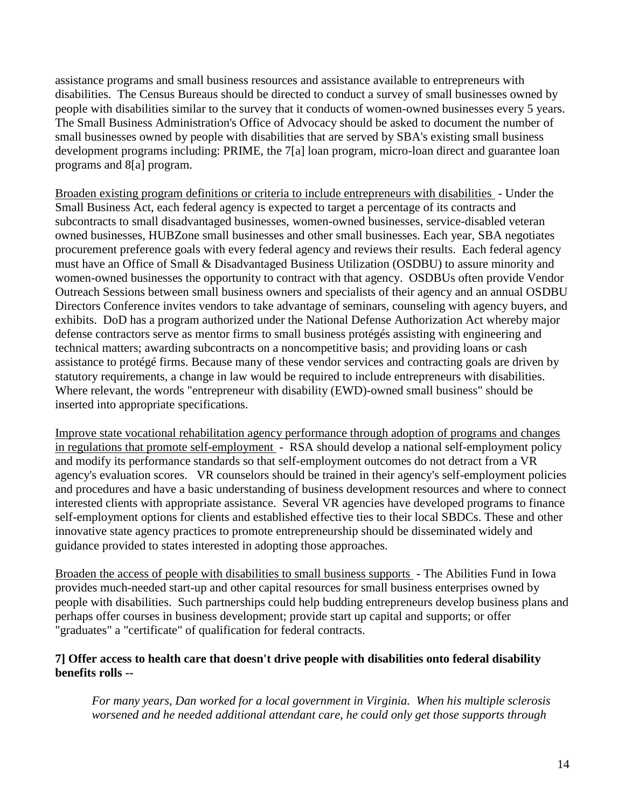assistance programs and small business resources and assistance available to entrepreneurs with disabilities. The Census Bureaus should be directed to conduct a survey of small businesses owned by people with disabilities similar to the survey that it conducts of women-owned businesses every 5 years. The Small Business Administration's Office of Advocacy should be asked to document the number of small businesses owned by people with disabilities that are served by SBA's existing small business development programs including: PRIME, the 7[a] loan program, micro-loan direct and guarantee loan programs and 8[a] program.

Broaden existing program definitions or criteria to include entrepreneurs with disabilities - Under the Small Business Act, each federal agency is expected to target a percentage of its contracts and subcontracts to small disadvantaged businesses, women-owned businesses, service-disabled veteran owned businesses, HUBZone small businesses and other small businesses. Each year, SBA negotiates procurement preference goals with every federal agency and reviews their results. Each federal agency must have an Office of Small & Disadvantaged Business Utilization (OSDBU) to assure minority and women-owned businesses the opportunity to contract with that agency. OSDBUs often provide Vendor Outreach Sessions between small business owners and specialists of their agency and an annual OSDBU Directors Conference invites vendors to take advantage of seminars, counseling with agency buyers, and exhibits. DoD has a program authorized under the National Defense Authorization Act whereby major defense contractors serve as mentor firms to small business protégés assisting with engineering and technical matters; awarding subcontracts on a noncompetitive basis; and providing loans or cash assistance to protégé firms. Because many of these vendor services and contracting goals are driven by statutory requirements, a change in law would be required to include entrepreneurs with disabilities. Where relevant, the words "entrepreneur with disability (EWD)-owned small business" should be inserted into appropriate specifications.

Improve state vocational rehabilitation agency performance through adoption of programs and changes in regulations that promote self-employment - RSA should develop a national self-employment policy and modify its performance standards so that self-employment outcomes do not detract from a VR agency's evaluation scores. VR counselors should be trained in their agency's self-employment policies and procedures and have a basic understanding of business development resources and where to connect interested clients with appropriate assistance. Several VR agencies have developed programs to finance self-employment options for clients and established effective ties to their local SBDCs. These and other innovative state agency practices to promote entrepreneurship should be disseminated widely and guidance provided to states interested in adopting those approaches.

Broaden the access of people with disabilities to small business supports - The Abilities Fund in Iowa provides much-needed start-up and other capital resources for small business enterprises owned by people with disabilities. Such partnerships could help budding entrepreneurs develop business plans and perhaps offer courses in business development; provide start up capital and supports; or offer "graduates" a "certificate" of qualification for federal contracts.

## **7] Offer access to health care that doesn't drive people with disabilities onto federal disability benefits rolls --**

*For many years, Dan worked for a local government in Virginia. When his multiple sclerosis worsened and he needed additional attendant care, he could only get those supports through*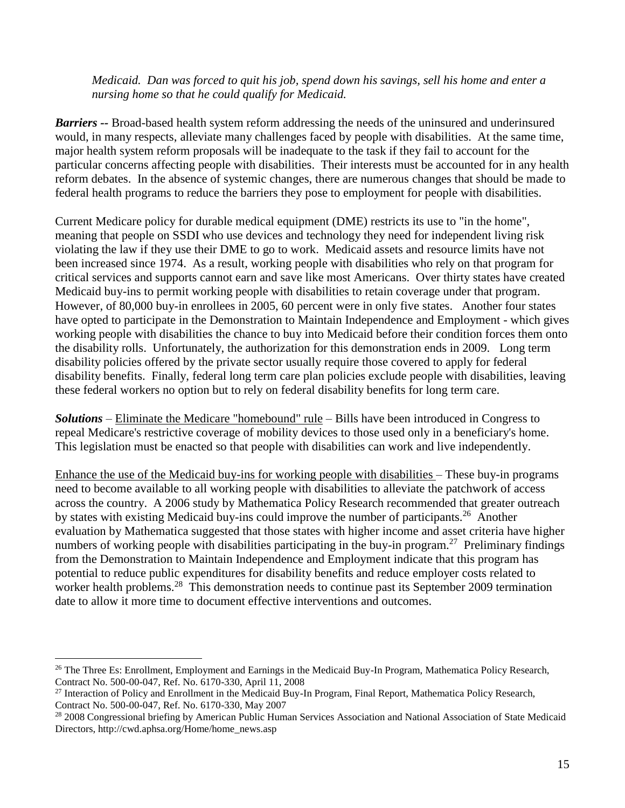*Medicaid. Dan was forced to quit his job, spend down his savings, sell his home and enter a nursing home so that he could qualify for Medicaid.*

*Barriers --* Broad-based health system reform addressing the needs of the uninsured and underinsured would, in many respects, alleviate many challenges faced by people with disabilities. At the same time, major health system reform proposals will be inadequate to the task if they fail to account for the particular concerns affecting people with disabilities. Their interests must be accounted for in any health reform debates. In the absence of systemic changes, there are numerous changes that should be made to federal health programs to reduce the barriers they pose to employment for people with disabilities.

Current Medicare policy for durable medical equipment (DME) restricts its use to "in the home", meaning that people on SSDI who use devices and technology they need for independent living risk violating the law if they use their DME to go to work. Medicaid assets and resource limits have not been increased since 1974. As a result, working people with disabilities who rely on that program for critical services and supports cannot earn and save like most Americans. Over thirty states have created Medicaid buy-ins to permit working people with disabilities to retain coverage under that program. However, of 80,000 buy-in enrollees in 2005, 60 percent were in only five states. Another four states have opted to participate in the Demonstration to Maintain Independence and Employment - which gives working people with disabilities the chance to buy into Medicaid before their condition forces them onto the disability rolls. Unfortunately, the authorization for this demonstration ends in 2009. Long term disability policies offered by the private sector usually require those covered to apply for federal disability benefits. Finally, federal long term care plan policies exclude people with disabilities, leaving these federal workers no option but to rely on federal disability benefits for long term care.

*Solutions* – Eliminate the Medicare "homebound" rule – Bills have been introduced in Congress to repeal Medicare's restrictive coverage of mobility devices to those used only in a beneficiary's home. This legislation must be enacted so that people with disabilities can work and live independently.

Enhance the use of the Medicaid buy-ins for working people with disabilities – These buy-in programs need to become available to all working people with disabilities to alleviate the patchwork of access across the country. A 2006 study by Mathematica Policy Research recommended that greater outreach by states with existing Medicaid buy-ins could improve the number of participants.<sup>26</sup> Another evaluation by Mathematica suggested that those states with higher income and asset criteria have higher numbers of working people with disabilities participating in the buy-in program.<sup>27</sup> Preliminary findings from the Demonstration to Maintain Independence and Employment indicate that this program has potential to reduce public expenditures for disability benefits and reduce employer costs related to worker health problems.<sup>28</sup> This demonstration needs to continue past its September 2009 termination date to allow it more time to document effective interventions and outcomes.

<sup>&</sup>lt;sup>26</sup> The Three Es: Enrollment, Employment and Earnings in the Medicaid Buy-In Program, Mathematica Policy Research, Contract No. 500-00-047, Ref. No. 6170-330, April 11, 2008

<sup>&</sup>lt;sup>27</sup> Interaction of Policy and Enrollment in the Medicaid Buy-In Program, Final Report, Mathematica Policy Research, Contract No. 500-00-047, Ref. No. 6170-330, May 2007

<sup>&</sup>lt;sup>28</sup> 2008 Congressional briefing by American Public Human Services Association and National Association of State Medicaid Directors, http://cwd.aphsa.org/Home/home\_news.asp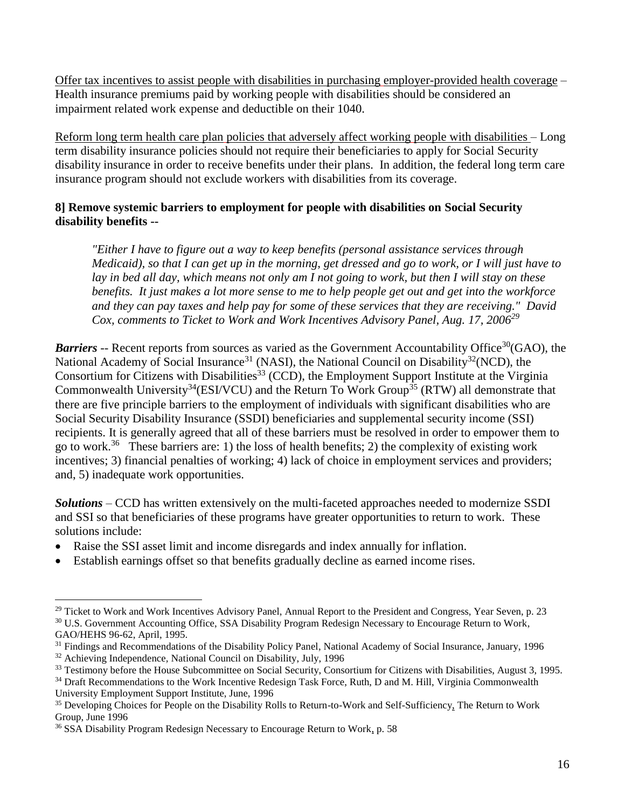Offer tax incentives to assist people with disabilities in purchasing employer-provided health coverage – Health insurance premiums paid by working people with disabilities should be considered an impairment related work expense and deductible on their 1040.

Reform long term health care plan policies that adversely affect working people with disabilities – Long term disability insurance policies should not require their beneficiaries to apply for Social Security disability insurance in order to receive benefits under their plans. In addition, the federal long term care insurance program should not exclude workers with disabilities from its coverage.

# **8] Remove systemic barriers to employment for people with disabilities on Social Security disability benefits --**

*"Either I have to figure out a way to keep benefits (personal assistance services through Medicaid), so that I can get up in the morning, get dressed and go to work, or I will just have to lay in bed all day, which means not only am I not going to work, but then I will stay on these benefits. It just makes a lot more sense to me to help people get out and get into the workforce and they can pay taxes and help pay for some of these services that they are receiving." David Cox, comments to Ticket to Work and Work Incentives Advisory Panel, Aug. 17, 2006<sup>29</sup>*

**Barriers** -- Recent reports from sources as varied as the Government Accountability Office<sup>30</sup> (GAO), the National Academy of Social Insurance<sup>31</sup> (NASI), the National Council on Disability<sup>32</sup> (NCD), the Consortium for Citizens with Disabilities<sup>33</sup> (CCD), the Employment Support Institute at the Virginia Commonwealth University<sup>34</sup>(ESI/VCU) and the Return To Work Group<sup>35</sup> (RTW) all demonstrate that there are five principle barriers to the employment of individuals with significant disabilities who are Social Security Disability Insurance (SSDI) beneficiaries and supplemental security income (SSI) recipients. It is generally agreed that all of these barriers must be resolved in order to empower them to go to work.<sup>36</sup> These barriers are: 1) the loss of health benefits; 2) the complexity of existing work incentives; 3) financial penalties of working; 4) lack of choice in employment services and providers; and, 5) inadequate work opportunities.

*Solutions* – CCD has written extensively on the multi-faceted approaches needed to modernize SSDI and SSI so that beneficiaries of these programs have greater opportunities to return to work. These solutions include:

- Raise the SSI asset limit and income disregards and index annually for inflation.
- Establish earnings offset so that benefits gradually decline as earned income rises.

<sup>32</sup> Achieving Independence*,* National Council on Disability, July, 1996

 $^{29}$  Ticket to Work and Work Incentives Advisory Panel, Annual Report to the President and Congress, Year Seven, p. 23 <sup>30</sup> U.S. Government Accounting Office, SSA Disability Program Redesign Necessary to Encourage Return to Work, GAO/HEHS 96-62, April, 1995.

<sup>&</sup>lt;sup>31</sup> Findings and Recommendations of the Disability Policy Panel, National Academy of Social Insurance, January, 1996

<sup>33</sup> Testimony before the House Subcommittee on Social Security, Consortium for Citizens with Disabilities, August 3, 1995.

<sup>&</sup>lt;sup>34</sup> Draft Recommendations to the Work Incentive Redesign Task Force, Ruth, D and M. Hill, Virginia Commonwealth University Employment Support Institute, June, 1996

<sup>&</sup>lt;sup>35</sup> Developing Choices for People on the Disability Rolls to Return-to-Work and Self-Sufficiency, The Return to Work Group, June 1996

<sup>&</sup>lt;sup>36</sup> SSA Disability Program Redesign Necessary to Encourage Return to Work, p. 58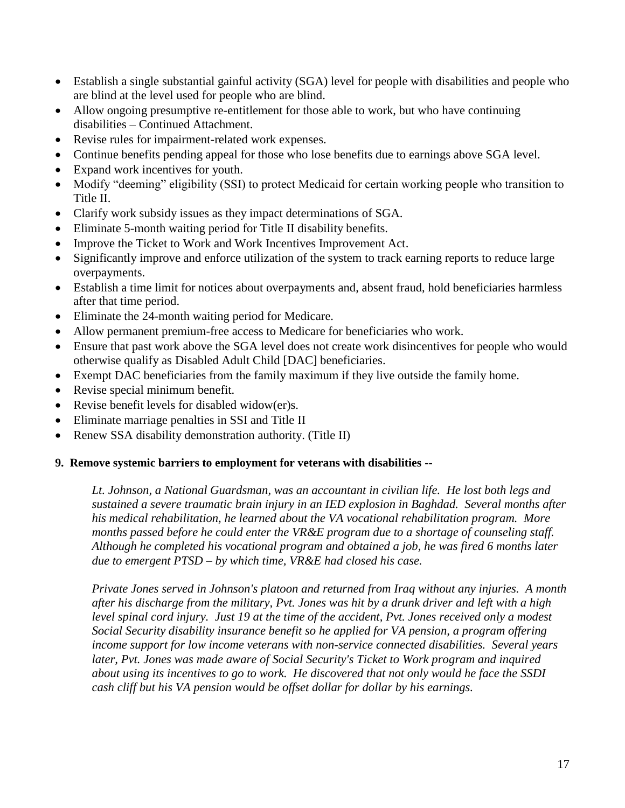- Establish a single substantial gainful activity (SGA) level for people with disabilities and people who are blind at the level used for people who are blind.
- Allow ongoing presumptive re-entitlement for those able to work, but who have continuing disabilities – Continued Attachment.
- Revise rules for impairment-related work expenses.
- Continue benefits pending appeal for those who lose benefits due to earnings above SGA level.
- Expand work incentives for youth.
- Modify "deeming" eligibility (SSI) to protect Medicaid for certain working people who transition to Title II.
- Clarify work subsidy issues as they impact determinations of SGA.
- Eliminate 5-month waiting period for Title II disability benefits.
- Improve the Ticket to Work and Work Incentives Improvement Act.
- Significantly improve and enforce utilization of the system to track earning reports to reduce large overpayments.
- Establish a time limit for notices about overpayments and, absent fraud, hold beneficiaries harmless after that time period.
- Eliminate the 24-month waiting period for Medicare.
- Allow permanent premium-free access to Medicare for beneficiaries who work.
- Ensure that past work above the SGA level does not create work disincentives for people who would otherwise qualify as Disabled Adult Child [DAC] beneficiaries.
- Exempt DAC beneficiaries from the family maximum if they live outside the family home.
- Revise special minimum benefit.
- Revise benefit levels for disabled widow(er)s.
- Eliminate marriage penalties in SSI and Title II
- Renew SSA disability demonstration authority. (Title II)

#### **9. Remove systemic barriers to employment for veterans with disabilities --**

*Lt. Johnson, a National Guardsman, was an accountant in civilian life. He lost both legs and sustained a severe traumatic brain injury in an IED explosion in Baghdad. Several months after his medical rehabilitation, he learned about the VA vocational rehabilitation program. More months passed before he could enter the VR&E program due to a shortage of counseling staff. Although he completed his vocational program and obtained a job, he was fired 6 months later due to emergent PTSD – by which time, VR&E had closed his case.* 

*Private Jones served in Johnson's platoon and returned from Iraq without any injuries. A month after his discharge from the military, Pvt. Jones was hit by a drunk driver and left with a high level spinal cord injury. Just 19 at the time of the accident, Pvt. Jones received only a modest Social Security disability insurance benefit so he applied for VA pension, a program offering income support for low income veterans with non-service connected disabilities. Several years later, Pvt. Jones was made aware of Social Security's Ticket to Work program and inquired about using its incentives to go to work. He discovered that not only would he face the SSDI cash cliff but his VA pension would be offset dollar for dollar by his earnings.*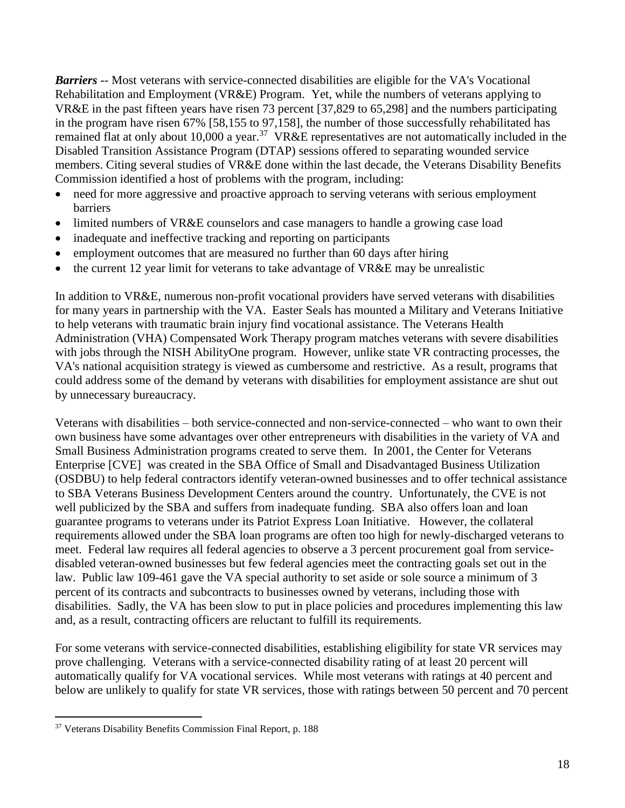*Barriers* -- Most veterans with service-connected disabilities are eligible for the VA's Vocational Rehabilitation and Employment (VR&E) Program. Yet, while the numbers of veterans applying to VR&E in the past fifteen years have risen 73 percent [37,829 to 65,298] and the numbers participating in the program have risen 67% [58,155 to 97,158], the number of those successfully rehabilitated has remained flat at only about 10,000 a year.<sup>37</sup> VR&E representatives are not automatically included in the Disabled Transition Assistance Program (DTAP) sessions offered to separating wounded service members. Citing several studies of VR&E done within the last decade, the Veterans Disability Benefits Commission identified a host of problems with the program, including:

- need for more aggressive and proactive approach to serving veterans with serious employment barriers
- limited numbers of VR&E counselors and case managers to handle a growing case load
- inadequate and ineffective tracking and reporting on participants
- employment outcomes that are measured no further than 60 days after hiring
- the current 12 year limit for veterans to take advantage of VR&E may be unrealistic

In addition to VR&E, numerous non-profit vocational providers have served veterans with disabilities for many years in partnership with the VA. Easter Seals has mounted a Military and Veterans Initiative to help veterans with traumatic brain injury find vocational assistance. The Veterans Health Administration (VHA) Compensated Work Therapy program matches veterans with severe disabilities with jobs through the NISH AbilityOne program. However, unlike state VR contracting processes, the VA's national acquisition strategy is viewed as cumbersome and restrictive. As a result, programs that could address some of the demand by veterans with disabilities for employment assistance are shut out by unnecessary bureaucracy.

Veterans with disabilities – both service-connected and non-service-connected – who want to own their own business have some advantages over other entrepreneurs with disabilities in the variety of VA and Small Business Administration programs created to serve them. In 2001, the Center for Veterans Enterprise [CVE] was created in the SBA Office of Small and Disadvantaged Business Utilization (OSDBU) to help federal contractors identify veteran-owned businesses and to offer technical assistance to SBA Veterans Business Development Centers around the country. Unfortunately, the CVE is not well publicized by the SBA and suffers from inadequate funding. SBA also offers loan and loan guarantee programs to veterans under its Patriot Express Loan Initiative. However, the collateral requirements allowed under the SBA loan programs are often too high for newly-discharged veterans to meet. Federal law requires all federal agencies to observe a 3 percent procurement goal from servicedisabled veteran-owned businesses but few federal agencies meet the contracting goals set out in the law. Public law 109-461 gave the VA special authority to set aside or sole source a minimum of 3 percent of its contracts and subcontracts to businesses owned by veterans, including those with disabilities. Sadly, the VA has been slow to put in place policies and procedures implementing this law and, as a result, contracting officers are reluctant to fulfill its requirements.

For some veterans with service-connected disabilities, establishing eligibility for state VR services may prove challenging. Veterans with a service-connected disability rating of at least 20 percent will automatically qualify for VA vocational services. While most veterans with ratings at 40 percent and below are unlikely to qualify for state VR services, those with ratings between 50 percent and 70 percent

<sup>&</sup>lt;sup>37</sup> Veterans Disability Benefits Commission Final Report, p. 188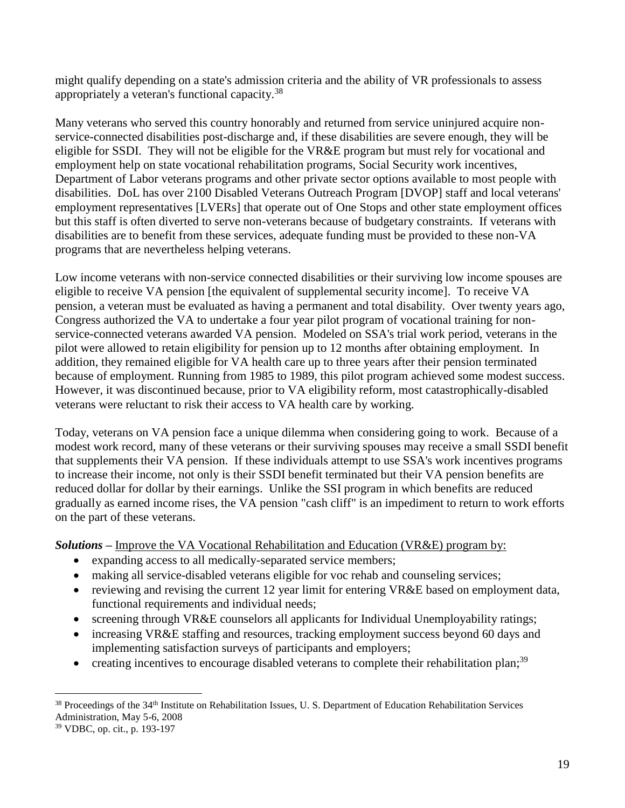might qualify depending on a state's admission criteria and the ability of VR professionals to assess appropriately a veteran's functional capacity.<sup>38</sup>

Many veterans who served this country honorably and returned from service uninjured acquire nonservice-connected disabilities post-discharge and, if these disabilities are severe enough, they will be eligible for SSDI. They will not be eligible for the VR&E program but must rely for vocational and employment help on state vocational rehabilitation programs, Social Security work incentives, Department of Labor veterans programs and other private sector options available to most people with disabilities. DoL has over 2100 Disabled Veterans Outreach Program [DVOP] staff and local veterans' employment representatives [LVERs] that operate out of One Stops and other state employment offices but this staff is often diverted to serve non-veterans because of budgetary constraints. If veterans with disabilities are to benefit from these services, adequate funding must be provided to these non-VA programs that are nevertheless helping veterans.

Low income veterans with non-service connected disabilities or their surviving low income spouses are eligible to receive VA pension [the equivalent of supplemental security income]. To receive VA pension, a veteran must be evaluated as having a permanent and total disability. Over twenty years ago, Congress authorized the VA to undertake a four year pilot program of vocational training for nonservice-connected veterans awarded VA pension. Modeled on SSA's trial work period, veterans in the pilot were allowed to retain eligibility for pension up to 12 months after obtaining employment. In addition, they remained eligible for VA health care up to three years after their pension terminated because of employment. Running from 1985 to 1989, this pilot program achieved some modest success. However, it was discontinued because, prior to VA eligibility reform, most catastrophically-disabled veterans were reluctant to risk their access to VA health care by working.

Today, veterans on VA pension face a unique dilemma when considering going to work. Because of a modest work record, many of these veterans or their surviving spouses may receive a small SSDI benefit that supplements their VA pension. If these individuals attempt to use SSA's work incentives programs to increase their income, not only is their SSDI benefit terminated but their VA pension benefits are reduced dollar for dollar by their earnings. Unlike the SSI program in which benefits are reduced gradually as earned income rises, the VA pension "cash cliff" is an impediment to return to work efforts on the part of these veterans.

*Solutions* **–** Improve the VA Vocational Rehabilitation and Education (VR&E) program by:

- expanding access to all medically-separated service members;
- making all service-disabled veterans eligible for voc rehab and counseling services;
- reviewing and revising the current 12 year limit for entering VR&E based on employment data, functional requirements and individual needs;
- screening through VR&E counselors all applicants for Individual Unemployability ratings;
- increasing VR&E staffing and resources, tracking employment success beyond 60 days and implementing satisfaction surveys of participants and employers;
- creating incentives to encourage disabled veterans to complete their rehabilitation plan;<sup>39</sup>

 $38$  Proceedings of the  $34<sup>th</sup>$  Institute on Rehabilitation Issues, U.S. Department of Education Rehabilitation Services Administration, May 5-6, 2008

<sup>39</sup> VDBC, op. cit., p. 193-197